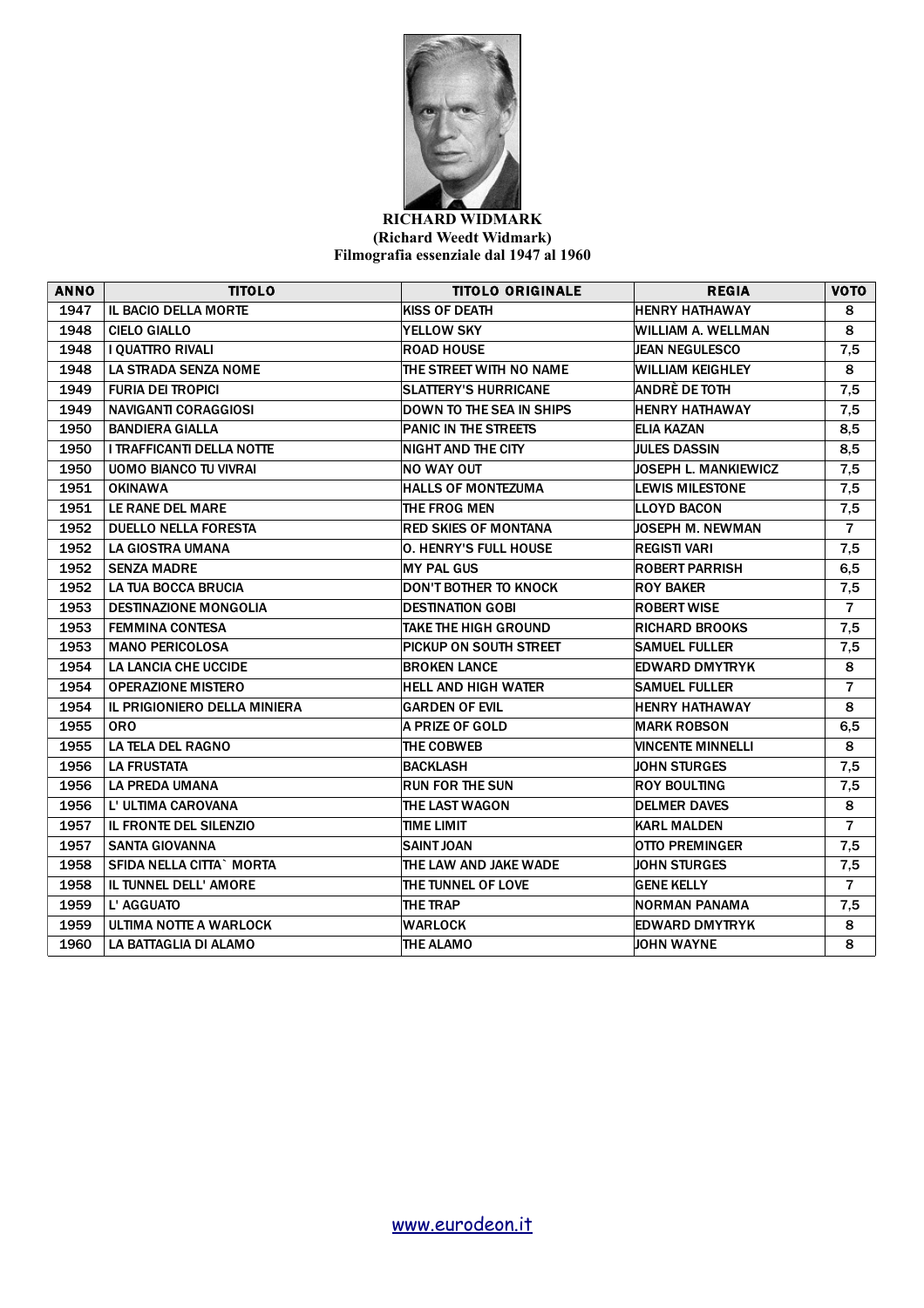

## **RICHARD WIDMARK (Richard Weedt Widmark) Filmografia essenziale dal 1947 al 1960**

| <b>ANNO</b> | <b>TITOLO</b>                    | <b>TITOLO ORIGINALE</b>      | <b>REGIA</b>                | <b>VOTO</b>    |
|-------------|----------------------------------|------------------------------|-----------------------------|----------------|
| 1947        | <b>IL BACIO DELLA MORTE</b>      | <b>KISS OF DEATH</b>         | <b>HENRY HATHAWAY</b>       | 8              |
| 1948        | <b>CIELO GIALLO</b>              | <b>YELLOW SKY</b>            | <b>WILLIAM A. WELLMAN</b>   | 8              |
| 1948        | I QUATTRO RIVALI                 | <b>ROAD HOUSE</b>            | <b>JEAN NEGULESCO</b>       | 7,5            |
| 1948        | <b>LA STRADA SENZA NOME</b>      | THE STREET WITH NO NAME      | WILLIAM KEIGHLEY            | 8              |
| 1949        | <b>FURIA DEI TROPICI</b>         | <b>SLATTERY'S HURRICANE</b>  | ANDRÈ DE TOTH               | 7,5            |
| 1949        | <b>NAVIGANTI CORAGGIOSI</b>      | DOWN TO THE SEA IN SHIPS     | <b>HENRY HATHAWAY</b>       | 7,5            |
| 1950        | <b>BANDIERA GIALLA</b>           | PANIC IN THE STREETS         | <b>ELIA KAZAN</b>           | 8,5            |
| 1950        | <b>I TRAFFICANTI DELLA NOTTE</b> | NIGHT AND THE CITY           | <b>JULES DASSIN</b>         | 8,5            |
| 1950        | <b>UOMO BIANCO TU VIVRAI</b>     | <b>NO WAY OUT</b>            | <b>JOSEPH L. MANKIEWICZ</b> | 7,5            |
| 1951        | <b>OKINAWA</b>                   | <b>HALLS OF MONTEZUMA</b>    | <b>LEWIS MILESTONE</b>      | 7,5            |
| 1951        | LE RANE DEL MARE                 | THE FROG MEN                 | <b>LLOYD BACON</b>          | 7,5            |
| 1952        | <b>DUELLO NELLA FORESTA</b>      | <b>RED SKIES OF MONTANA</b>  | <b>JOSEPH M. NEWMAN</b>     | $\overline{7}$ |
| 1952        | LA GIOSTRA UMANA                 | <b>O. HENRY'S FULL HOUSE</b> | <b>REGISTI VARI</b>         | 7,5            |
| 1952        | <b>SENZA MADRE</b>               | <b>MY PAL GUS</b>            | <b>ROBERT PARRISH</b>       | 6, 5           |
| 1952        | <b>LA TUA BOCCA BRUCIA</b>       | <b>DON'T BOTHER TO KNOCK</b> | <b>ROY BAKER</b>            | 7,5            |
| 1953        | <b>DESTINAZIONE MONGOLIA</b>     | <b>DESTINATION GOBI</b>      | <b>ROBERT WISE</b>          | $\overline{7}$ |
| 1953        | <b>FEMMINA CONTESA</b>           | <b>TAKE THE HIGH GROUND</b>  | <b>RICHARD BROOKS</b>       | 7,5            |
| 1953        | <b>MANO PERICOLOSA</b>           | PICKUP ON SOUTH STREET       | <b>SAMUEL FULLER</b>        | 7,5            |
| 1954        | <b>LA LANCIA CHE UCCIDE</b>      | <b>BROKEN LANCE</b>          | <b>EDWARD DMYTRYK</b>       | 8              |
| 1954        | <b>OPERAZIONE MISTERO</b>        | <b>HELL AND HIGH WATER</b>   | <b>SAMUEL FULLER</b>        | $\overline{7}$ |
| 1954        | IL PRIGIONIERO DELLA MINIERA     | GARDEN OF EVIL               | <b>HENRY HATHAWAY</b>       | 8              |
| 1955        | 0RO                              | A PRIZE OF GOLD              | <b>MARK ROBSON</b>          | 6,5            |
| 1955        | LA TELA DEL RAGNO                | THE COBWEB                   | <b>VINCENTE MINNELLI</b>    | 8              |
| 1956        | <b>LA FRUSTATA</b>               | <b>BACKLASH</b>              | <b>JOHN STURGES</b>         | 7,5            |
| 1956        | LA PREDA UMANA                   | <b>RUN FOR THE SUN</b>       | <b>ROY BOULTING</b>         | 7,5            |
| 1956        | L' ULTIMA CAROVANA               | THE LAST WAGON               | <b>DELMER DAVES</b>         | 8              |
| 1957        | <b>IL FRONTE DEL SILENZIO</b>    | TIME LIMIT                   | <b>KARL MALDEN</b>          | $\overline{7}$ |
| 1957        | <b>SANTA GIOVANNA</b>            | <b>SAINT JOAN</b>            | <b>OTTO PREMINGER</b>       | 7,5            |
| 1958        | <b>SFIDA NELLA CITTA` MORTA</b>  | THE LAW AND JAKE WADE        | <b>JOHN STURGES</b>         | 7,5            |
| 1958        | IL TUNNEL DELL' AMORE            | THE TUNNEL OF LOVE           | <b>GENE KELLY</b>           | $\overline{7}$ |
| 1959        | L' AGGUATO                       | THE TRAP                     | <b>NORMAN PANAMA</b>        | 7,5            |
| 1959        | ULTIMA NOTTE A WARLOCK           | WARLOCK                      | <b>EDWARD DMYTRYK</b>       | 8              |
| 1960        | LA BATTAGLIA DI ALAMO            | THE ALAMO                    | <b>JOHN WAYNE</b>           | 8              |